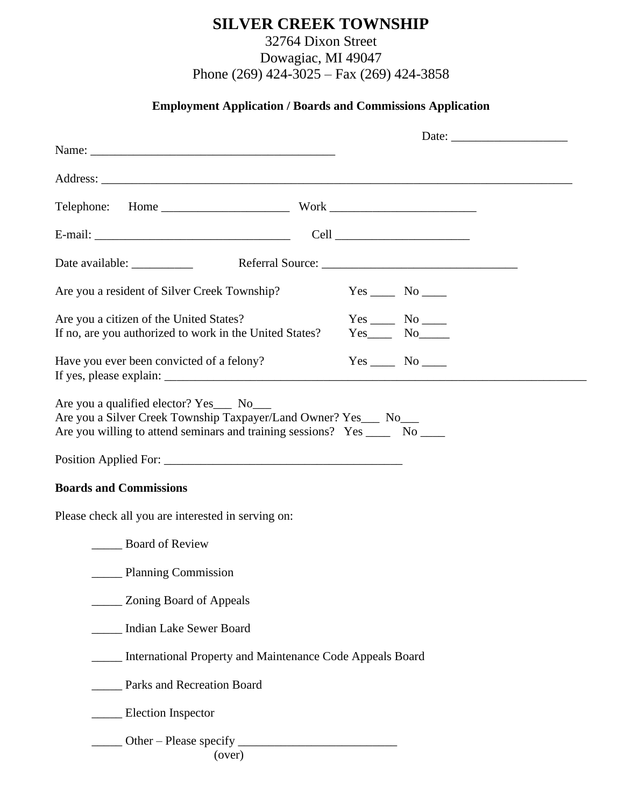## **SILVER CREEK TOWNSHIP**

32764 Dixon Street Dowagiac, MI 49047 Phone (269) 424-3025 – Fax (269) 424-3858

## **Employment Application / Boards and Commissions Application**

| Are you a resident of Silver Creek Township?                                        |  | $Yes \_\_\_ No \_\_\_$ |  |
|-------------------------------------------------------------------------------------|--|------------------------|--|
| Are you a citizen of the United States?                                             |  | $Yes \_\_\_ No \_\_\_$ |  |
| If no, are you authorized to work in the United States?                             |  | $Yes$ No               |  |
| Have you ever been convicted of a felony?                                           |  |                        |  |
| <b>Boards and Commissions</b><br>Please check all you are interested in serving on: |  |                        |  |
| <b>Example 3</b> Board of Review                                                    |  |                        |  |
| ________ Planning Commission                                                        |  |                        |  |
| Zoning Board of Appeals                                                             |  |                        |  |
| <b>Indian Lake Sewer Board</b>                                                      |  |                        |  |
| International Property and Maintenance Code Appeals Board                           |  |                        |  |
| Parks and Recreation Board                                                          |  |                        |  |
| __ Election Inspector                                                               |  |                        |  |
| (over)                                                                              |  |                        |  |
|                                                                                     |  |                        |  |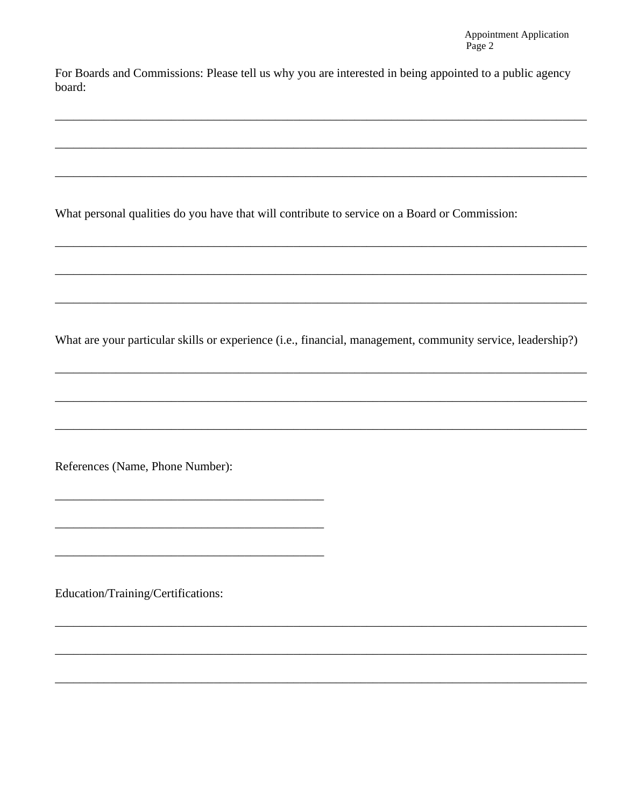For Boards and Commissions: Please tell us why you are interested in being appointed to a public agency board:

What personal qualities do you have that will contribute to service on a Board or Commission:

What are your particular skills or experience (i.e., financial, management, community service, leadership?)

References (Name, Phone Number):

Education/Training/Certifications: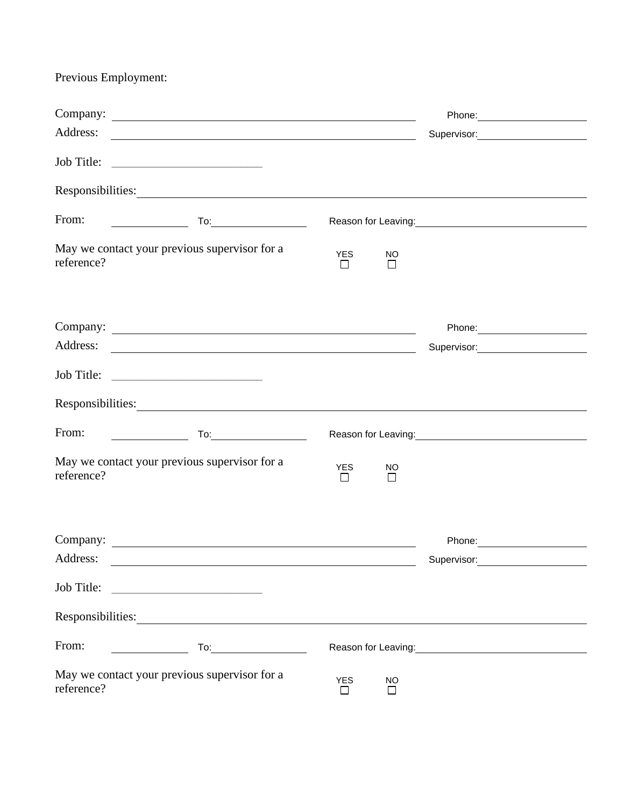Previous Employment:

| Address:   |                                                                                                                                                                                                                                                                                                                                                                                  |                       |                     |                                                                                                                                                                                                                                        |  |
|------------|----------------------------------------------------------------------------------------------------------------------------------------------------------------------------------------------------------------------------------------------------------------------------------------------------------------------------------------------------------------------------------|-----------------------|---------------------|----------------------------------------------------------------------------------------------------------------------------------------------------------------------------------------------------------------------------------------|--|
|            |                                                                                                                                                                                                                                                                                                                                                                                  |                       |                     |                                                                                                                                                                                                                                        |  |
|            | Responsibilities: Network of the Community of the Community of the Community of the Community of the Community of the Community of the Community of the Community of the Community of the Community of the Community of the Co                                                                                                                                                   |                       |                     |                                                                                                                                                                                                                                        |  |
| From:      |                                                                                                                                                                                                                                                                                                                                                                                  |                       |                     |                                                                                                                                                                                                                                        |  |
| reference? | May we contact your previous supervisor for a                                                                                                                                                                                                                                                                                                                                    | <b>YES</b><br>$\perp$ | NO<br>П             |                                                                                                                                                                                                                                        |  |
|            |                                                                                                                                                                                                                                                                                                                                                                                  |                       |                     | Phone: _____________________                                                                                                                                                                                                           |  |
| Address:   |                                                                                                                                                                                                                                                                                                                                                                                  |                       |                     | Supervisor: View Management Communication                                                                                                                                                                                              |  |
|            |                                                                                                                                                                                                                                                                                                                                                                                  |                       |                     |                                                                                                                                                                                                                                        |  |
|            | Responsibilities:                                                                                                                                                                                                                                                                                                                                                                |                       |                     |                                                                                                                                                                                                                                        |  |
| From:      |                                                                                                                                                                                                                                                                                                                                                                                  |                       |                     | Reason for Leaving:<br><u>Next and the manufacture of the set of the set of the set of the set of the set of the set of the set of the set of the set of the set of the set of the set of the set of the set of the set of the set</u> |  |
| reference? | May we contact your previous supervisor for a                                                                                                                                                                                                                                                                                                                                    | <b>YES</b><br>$\Box$  | NO<br>П             |                                                                                                                                                                                                                                        |  |
|            |                                                                                                                                                                                                                                                                                                                                                                                  |                       |                     | Phone: and the state of the state of the state of the state of the state of the state of the state of the state of the state of the state of the state of the state of the state of the state of the state of the state of the         |  |
| Address:   |                                                                                                                                                                                                                                                                                                                                                                                  |                       |                     | Supervisor:                                                                                                                                                                                                                            |  |
| Job Title: |                                                                                                                                                                                                                                                                                                                                                                                  |                       |                     |                                                                                                                                                                                                                                        |  |
|            | Responsibilities:                                                                                                                                                                                                                                                                                                                                                                |                       |                     |                                                                                                                                                                                                                                        |  |
| From:      | $\begin{picture}(180,10) \put(0,0){\line(1,0){10}} \put(15,0){\line(1,0){10}} \put(15,0){\line(1,0){10}} \put(15,0){\line(1,0){10}} \put(15,0){\line(1,0){10}} \put(15,0){\line(1,0){10}} \put(15,0){\line(1,0){10}} \put(15,0){\line(1,0){10}} \put(15,0){\line(1,0){10}} \put(15,0){\line(1,0){10}} \put(15,0){\line(1,0){10}} \put(15,0){\line($<br><u> Albanya (Albanya)</u> |                       |                     | Reason for Leaving:<br><u> Reason</u> for Leaving:                                                                                                                                                                                     |  |
| reference? | May we contact your previous supervisor for a                                                                                                                                                                                                                                                                                                                                    | <b>YES</b>            | <b>NO</b><br>$\Box$ |                                                                                                                                                                                                                                        |  |